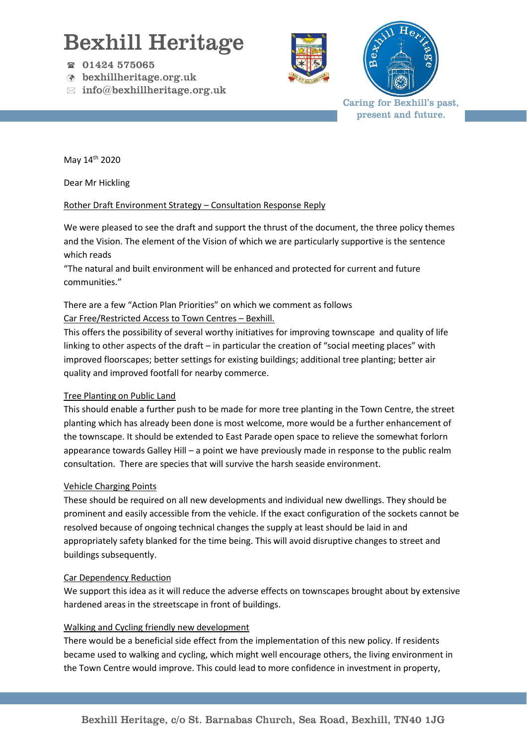# Bexhill Heritage

- 01424 575065
- bexhillheritage.org.uk
- $\boxtimes$  info@bexhillheritage.org.uk





Caring for Bexhill's past, present and future.

May 14th 2020

Dear Mr Hickling

#### Rother Draft Environment Strategy – Consultation Response Reply

We were pleased to see the draft and support the thrust of the document, the three policy themes and the Vision. The element of the Vision of which we are particularly supportive is the sentence which reads

"The natural and built environment will be enhanced and protected for current and future communities."

There are a few "Action Plan Priorities" on which we comment as follows

### Car Free/Restricted Access to Town Centres – Bexhill.

This offers the possibility of several worthy initiatives for improving townscape and quality of life linking to other aspects of the draft – in particular the creation of "social meeting places" with improved floorscapes; better settings for existing buildings; additional tree planting; better air quality and improved footfall for nearby commerce.

#### Tree Planting on Public Land

This should enable a further push to be made for more tree planting in the Town Centre, the street planting which has already been done is most welcome, more would be a further enhancement of the townscape. It should be extended to East Parade open space to relieve the somewhat forlorn appearance towards Galley Hill – a point we have previously made in response to the public realm consultation. There are species that will survive the harsh seaside environment.

#### Vehicle Charging Points

These should be required on all new developments and individual new dwellings. They should be prominent and easily accessible from the vehicle. If the exact configuration of the sockets cannot be resolved because of ongoing technical changes the supply at least should be laid in and appropriately safety blanked for the time being. This will avoid disruptive changes to street and buildings subsequently.

#### Car Dependency Reduction

We support this idea as it will reduce the adverse effects on townscapes brought about by extensive hardened areas in the streetscape in front of buildings.

## Walking and Cycling friendly new development

There would be a beneficial side effect from the implementation of this new policy. If residents became used to walking and cycling, which might well encourage others, the living environment in the Town Centre would improve. This could lead to more confidence in investment in property,